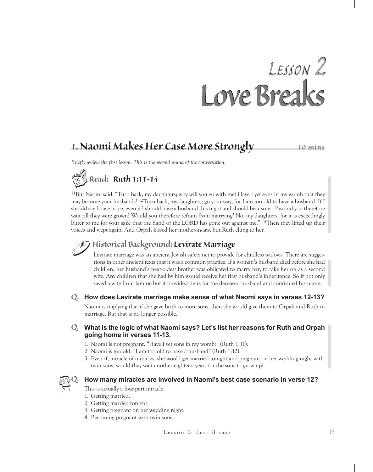# *Lesson 2 Love Breaks Lesson 2 Love Breaks*

### **1. Naomi Makes Her Case More Strongly 10 mins**

*Briefly review the first lesson. This is the second round of the conversation.*

# *Read: Ruth 1:11-14*

11But Naomi said, "Turn back, my daughters; why will you go with me? Have I yet sons in my womb that they may become your husbands? 12Turn back, my daughters; go your way, for I am too old to have a husband. If I should say I have hope, even if I should have a husband this night and should bear sons, 13would you therefore wait till they were grown? Would you therefore refrain from marrying? No, my daughters, for it is exceedingly bitter to me for your sake that the hand of the LORD has gone out against me." 14Then they lifted up their voices and wept again. And Orpah kissed her mother-in-law, but Ruth clung to her.

### *Historical Background: Levirate Marriage*

Levirate marriage was an ancient Jewish safety net to provide for childless widows. There are suggestions in other ancient texts that it was a common practice. If a woman's husband died before she had children, her husband's next-oldest brother was obligated to marry her, to take her on as a second wife. Any children that she had by him would receive her first husband's inheritance. So it not only saved a wife from famine but it provided heirs for the deceased husband and continued his name.

*Q.* **How does Levirate marriage make sense of what Naomi says in verses 12-13?**

Naomi is implying that if she gave birth to more sons, then she would give them to Orpah and Ruth in marriage. But that is no longer possible.

### *Q.* **What is the logic of what Naomi says? Let's list her reasons for Ruth and Orpah going home in verses 11-13.**

- 1. Naomi is not pregnant. "Have I yet sons in my womb?" (Ruth 1:11).
- 2. Naomi is too old. "I am too old to have a husband" (Ruth 1:12).
- 3. Even if, miracle of miracles, she would get married tonight and pregnant on her wedding night with twin sons, would they wait another eighteen years for the sons to grow up?



#### *Q.* **How many miracles are involved in Naomi's best case scenario in verse 12?**

This is actually a four-part miracle.

- 1. Getting married.
- 2. Getting married tonight.
- 3. Getting pregnant on her wedding night.
- 4. Becoming pregnant with twin sons.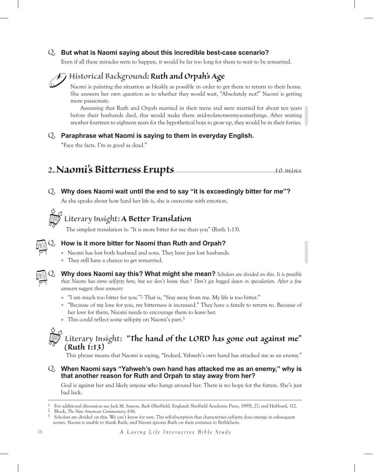### *Q.* **But what is Naomi saying about this incredible best-case scenario?**

Even if all these miracles were to happen, it would be far too long for them to wait to be remarried.



### *Historical Background: Ruth and Orpah's Age*

Naomi is painting the situation as bleakly as possible in order to get them to return to their home. She answers her own question as to whether they would wait, "Absolutely not!" Naomi is getting more passionate.

Assuming that Ruth and Orpah married in their teens and were married for about ten years before their husbands died, this would make them mid-to-late-twenty-somethings. After waiting another fourteen to eighteen years for the hypothetical boys to grow up, they would be in their forties.

### *Q.* **Paraphrase what Naomi is saying to them in everyday English.**

"Face the facts. I'm as good as dead."

*2.Naomi's Bitterness Erupts <sup>10</sup> mins*

### *Q.* **Why does Naomi wait until the end to say "it is exceedingly bitter for me"?**

As she speaks about how hard her life is, she is overcome with emotion.



### *Literary Insight: A Better Translation*

The simplest translation is: "It is more bitter for me than you" (Ruth 1:13).



### *Q.* **How is it more bitter for Naomi than Ruth and Orpah?**

- Naomi has lost both husband and sons. They have just lost husbands.
- They still have a chance to get remarried.



*Q.* **Why does Naomi say this? What might she mean?** *Scholars are divided on this. It is possible that Naomi has some self-pity here, but we don't know that.* 1 *Don't get bogged down in speculation. After a few answers suggest these answers:*

- "I am much too bitter for you."<sup>2</sup> That is, "Stay away from me. My life is too bitter."
- "Because of my love for you, my bitterness is increased." They have a family to return to. Because of her love for them, Naomi needs to encourage them to leave her.
- This could reflect some self-pity on Naomi's part.3

### *Literary Insight: "The hand of the LORD has gone out against me" (Ruth 1:13)*

This phrase means that Naomi is saying, "Indeed, Yahweh's own hand has attacked me as an enemy."

*Q.* **When Naomi says "Yahweh's own hand has attacked me as an enemy," why is that another reason for Ruth and Orpah to stay away from her?**

God is against her and likely anyone who hangs around her. There is no hope for the future. She's just bad luck.

1 For additional discussion see Jack M. Sasson, *Ruth* (Sheffield, England: Sheffield Academic Press, 1995), 27; and Hubbard, 112.

<sup>2</sup> Block, *The New American Commentary,* 636.

Scholars are divided on this. We can't know for sure. The self-absorption that characterizes self-pity does emerge in subsequent scenes. Naomi is unable to thank Ruth, and Naomi ignores Ruth on their entrance to Bethlehem.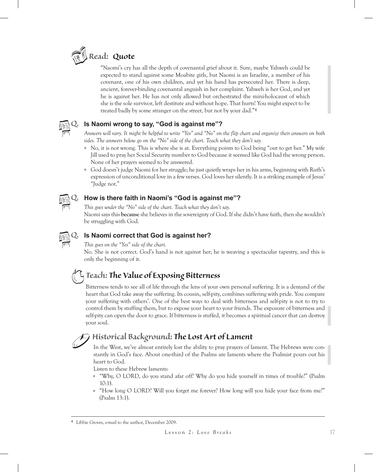

"Naomi's cry has all the depth of covenantal grief about it. Sure, maybe Yahweh could be expected to stand against some Moabite girls, but Naomi is an Israelite, a member of his covenant, one of his own children, and yet his hand has persecuted her. There is deep, ancient, forever-binding covenantal anguish in her complaint. Yahweh is her God, and yet he is against her. He has not only allowed but orchestrated the mini-holocaust of which she is the sole survivor, left destitute and without hope. That hurts! You might expect to be treated badly by some stranger on the street, but not by your dad."4



### *Q.* **Is Naomi wrong to say, "God is against me"?**

*Answers will vary. It might be helpful to write "Yes" and "No" on the flip chart and organize their answers on both sides. The answers below go on the "No" side of the chart. Teach what they don't say.*

- No, it is not wrong. This is where she is at. Everything points to God being "out to get her." My wife Jill used to pray her Social Security number to God because it seemed like God had the wrong person. None of her prayers seemed to be answered.
- God doesn't judge Naomi for her struggle; he just quietly wraps her in his arms, beginning with Ruth's expression of unconditional love in a few verses. God loves her silently. It is a striking example of Jesus' "Judge not."



### *Q.* **How is there faith in Naomi's "God is against me"?**

*This goes under the "No" side of the chart. Teach what they don't say.* Naomi says this **because** she believes in the sovereignty of God. If she didn't have faith, then she wouldn't be struggling with God.



### *Q.* **Is Naomi correct that God is against her?**

*This goes on the "Yes" side of the chart.*

No. She is not correct. God's hand is not against her; he is weaving a spectacular tapestry, and this is only the beginning of it.

### *Teach: The Value of Exposing Bitterness*

Bitterness tends to see all of life through the lens of your own personal suffering. It is a demand of the heart that God take away the suffering. Its cousin, self-pity, combines suffering with pride. You compare your suffering with others'. One of the best ways to deal with bitterness and self-pity is not to try to control them by stuffing them, but to expose your heart to your friends. The exposure of bitterness and self-pity can open the door to grace. If bitterness is stuffed, it becomes a spiritual cancer that can destroy your soul.

### *Historical Background: The Lost Art of Lament*

In the West, we've almost entirely lost the ability to pray prayers of lament. The Hebrews were constantly in God's face. About one-third of the Psalms are laments where the Psalmist pours out his heart to God.

Listen to these Hebrew laments:

- "Why, O Lord, do you stand afar off? Why do you hide yourself in times of trouble?" (Psalm 10:1).
- "How long O LORD? Will you forget me forever? How long will you hide your face from me?" (Psalm 13:1).

<sup>4</sup> Libbie Groves, e-mail to the author, December 2009.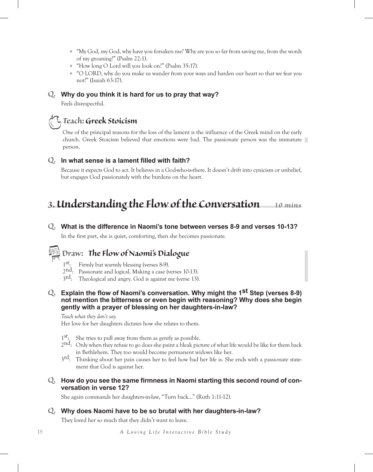- "My God, my God, why have you forsaken me? Why are you so far from saving me, from the words of my groaning?" (Psalm 22:1).
- "How long O Lord will you look on?" (Psalm 35:17).
- "O LORD, why do you make us wander from your ways and harden our heart so that we fear you not?" (Isaiah 63:17).

#### *Q.* **Why do you think it is hard for us to pray that way?**

Feels disrespectful.

### *Teach: Greek Stoicism*

One of the principal reasons for the loss of the lament is the influence of the Greek mind on the early church. Greek Stoicism believed that emotions were bad. The passionate person was the immature person.

#### *Q.* **In what sense is <sup>a</sup> lament filled with faith?**

Because it expects God to act. It believes in a God-who-is-there. It doesn't drift into cynicism or unbelief, but engages God passionately with the burdens on the heart.

## *3. Understandingthe Flowof the Conversation <sup>10</sup> mins*

#### *Q.* **What is the difference in Naomi's tone between verses 8-9 and verses 10-13?**

In the first part, she is quiet, comforting, then she becomes passionate.

## *Draw: The Flowof Naomi's Dialogue*

- 1st: Firmly but warmly blessing (verses 8-9).
- 2nd: Passionate and logical. Making a case (verses 10-13).
- 3<sup>rd</sup>: Theological and angry. God is against me (verse 13).
- *Q.* **Explain the flow of Naomi's conversation. Why might the 1st Step (verses 8-9) not mention the bitterness or even begin with reasoning? Why does she begin gently with a prayer of blessing on her daughters-in-law?**

#### *Teach what they don't say.*

Her love for her daughters dictates how she relates to them.

- $1<sup>st</sup>$ : She tries to pull away from them as gently as possible.
- 2<sup>nd</sup>: Only when they refuse to go does she paint a bleak picture of what life would be like for them back in Bethlehem. They too would become permanent widows like her.
- 3<sup>rd</sup>: Thinking about her pain causes her to feel how bad her life is. She ends with a passionate statement that God is against her.
- *Q.* **How do you see the same firmness in Naomi starting this second round of conversation in verse 12?**

She again commands her daughters-in-law, "Turn back..." (Ruth 1:11-12).

#### *Q.* **Why does Naomi have to be so brutal with her daughters-in-law?**

They loved her so much that they didn't want to leave.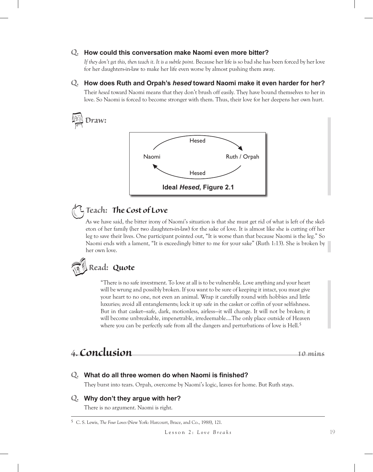#### *Q.* **How could this conversation make Naomi even more bitter?**

*If they don't get this, then teach it. It is a subtle point.* Because her life is so bad she has been forced by her love for her daughters-in-law to make her life even worse by almost pushing them away.

#### *Q.* **How does Ruth and Orpah's** *hesed* **toward Naomi make it even harder for her?**

Their *hesed* toward Naomi means that they don't brush off easily. They have bound themselves to her in love. So Naomi is forced to become stronger with them. Thus, their love for her deepens her own hurt.



## *Teach: The Cost of Love*

As we have said, the bitter irony of Naomi's situation is that she must get rid of what is left of the skeleton of her family (her two daughters-in-law) for the sake of love. It is almost like she is cutting off her leg to save their lives. One participant pointed out, "It is worse than that because Naomi is the leg." So Naomi ends with a lament, "It is exceedingly bitter to me for your sake" (Ruth 1:13). She is broken by her own love.

# *Read: Quote*

"There is no safe investment. To love at all is to be vulnerable. Love anything and your heart will be wrung and possibly broken. If you want to be sure of keeping it intact, you must give your heart to no one, not even an animal. Wrap it carefully round with hobbies and little luxuries; avoid all entanglements; lock it up safe in the casket or coffin of your selfishness. But in that casket—safe, dark, motionless, airless—it will change. It will not be broken; it will become unbreakable, impenetrable, irredeemable….The only place outside of Heaven where you can be perfectly safe from all the dangers and perturbations of love is Hell.<sup>5</sup>

## *4. Conclusion <sup>10</sup> mins*

### *Q.* **What do all three women do when Naomi is finished?**

They burst into tears. Orpah, overcome by Naomi's logic, leaves for home. But Ruth stays.

#### *Q.* **Why don't they argue with her?**

There is no argument. Naomi is right.

<sup>5</sup> C. S. Lewis, *The Four Loves* (New York: Harcourt, Brace, and Co., 1988), 121.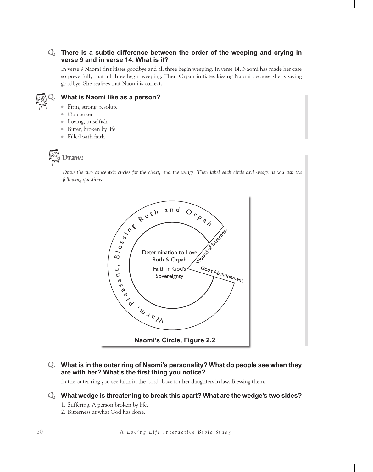### *Q.* **There is <sup>a</sup> subtle difference between the order of the weeping and crying in verse 9 and in verse 14. What is it?**

In verse 9 Naomi first kisses goodbye and all three begin weeping. In verse 14, Naomi has made her case so powerfully that all three begin weeping. Then Orpah initiates kissing Naomi because she is saying goodbye. She realizes that Naomi is correct.



### *Q.* **What is Naomi like as <sup>a</sup> person?**

- Firm, strong, resolute
- Outspoken
- Loving, unselfish
- Bitter, broken by life
- Filled with faith

*Draw:*

*Draw the two concentric circles for the chart, and the wedge. Then label each circle and wedge as you ask the following questions:*



### *Q.* **What is in the outer ring of Naomi's personality? What do people see when they are with her? What's the first thing you notice?**

In the outer ring you see faith in the Lord. Love for her daughters-in-law. Blessing them.

#### *Q.* **What wedge is threatening to break this apart? What are the wedge's two sides?**

- 1. Suffering. A person broken by life.
- 2. Bitterness at what God has done.